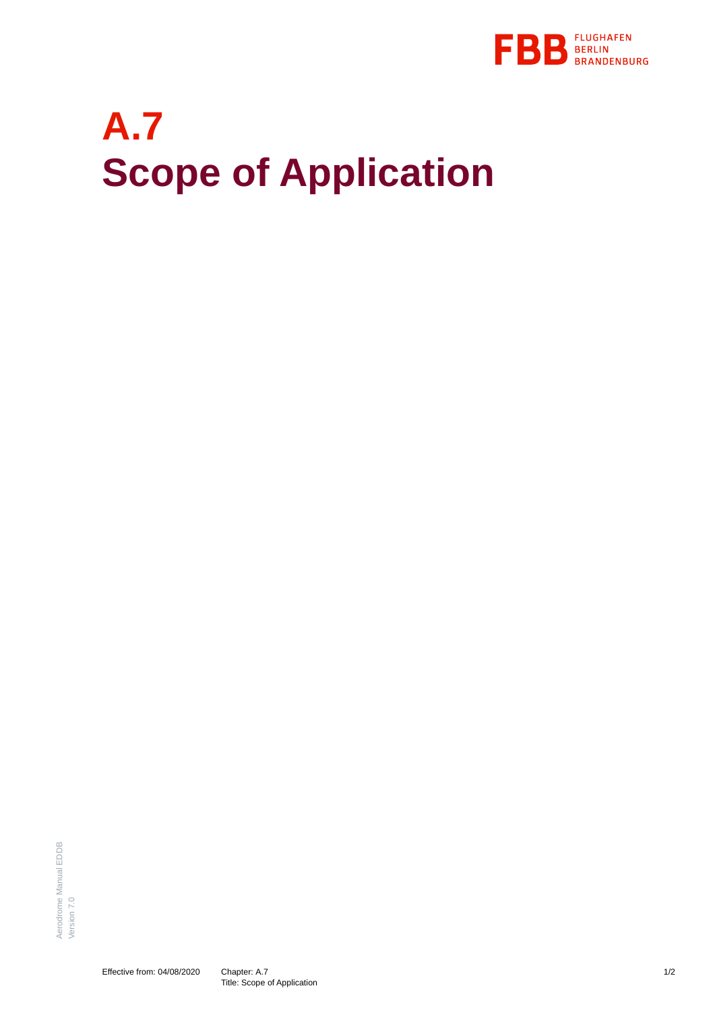

## **A.7 Scope of Application**